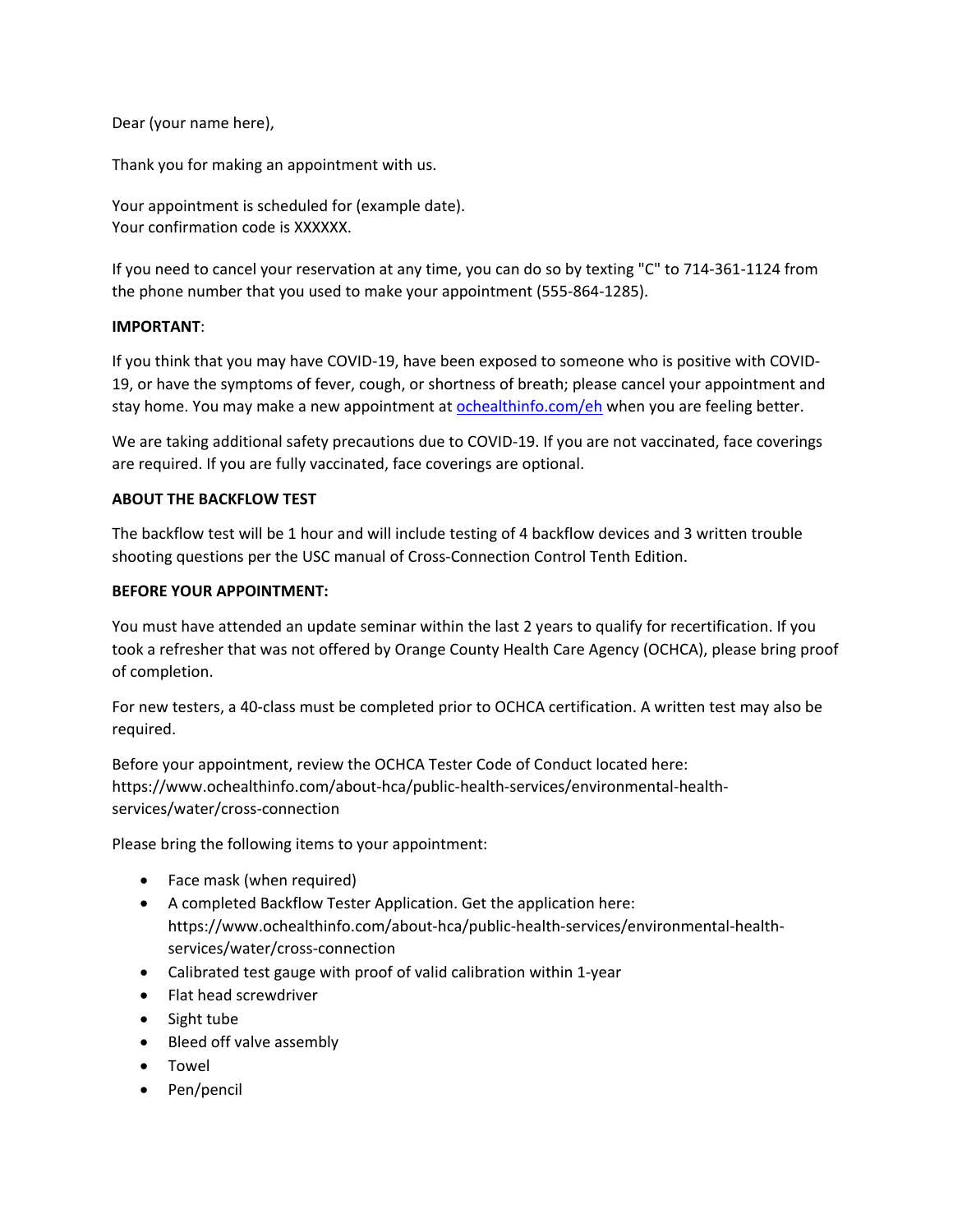Dear (your name here),

Thank you for making an appointment with us.

Your appointment is scheduled for (example date). Your confirmation code is XXXXXX.

If you need to cancel your reservation at any time, you can do so by texting "C" to 714-361-1124 from the phone number that you used to make your appointment (555-864-1285).

## **IMPORTANT**:

If you think that you may have COVID-19, have been exposed to someone who is positive with COVID-19, or have the symptoms of fever, cough, or shortness of breath; please cancel your appointment and stay home. You may make a new appointment at [ochealthinfo.com/eh](https://ochealthinfo.com/about-hca/public-health-services/environmental-health-services) when you are feeling better.

We are taking additional safety precautions due to COVID-19. If you are not vaccinated, face coverings are required. If you are fully vaccinated, face coverings are optional.

## **ABOUT THE BACKFLOW TEST**

The backflow test will be 1 hour and will include testing of 4 backflow devices and 3 written trouble shooting questions per the USC manual of Cross-Connection Control Tenth Edition.

## **BEFORE YOUR APPOINTMENT:**

You must have attended an update seminar within the last 2 years to qualify for recertification. If you took a refresher that was not offered by Orange County Health Care Agency (OCHCA), please bring proof of completion.

For new testers, a 40-class must be completed prior to OCHCA certification. A written test may also be required.

Before your appointment, review the OCHCA Tester Code of Conduct located here: https://www.ochealthinfo.com/about-hca/public-health-services/environmental-healthservices/water/cross-connection

Please bring the following items to your appointment:

- Face mask (when required)
- A completed Backflow Tester Application. Get the application here: https://www.ochealthinfo.com/about-hca/public-health-services/environmental-healthservices/water/cross-connection
- Calibrated test gauge with proof of valid calibration within 1-year
- Flat head screwdriver
- Sight tube
- Bleed off valve assembly
- Towel
- Pen/pencil